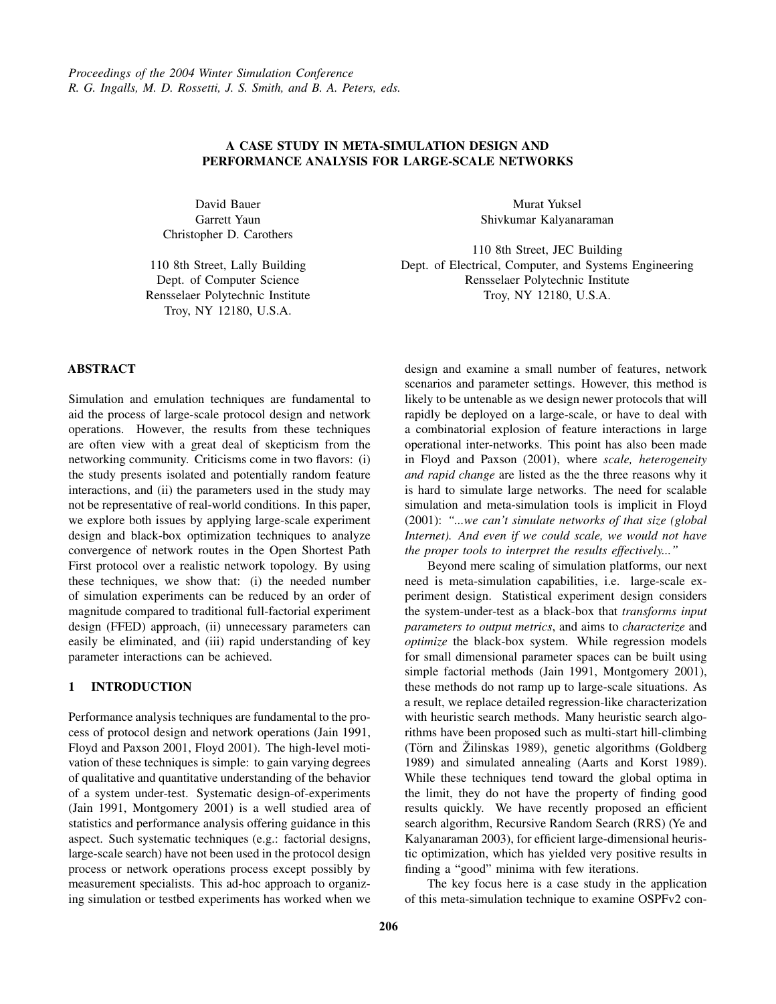# **A CASE STUDY IN META-SIMULATION DESIGN AND PERFORMANCE ANALYSIS FOR LARGE-SCALE NETWORKS**

David Bauer Garrett Yaun Christopher D. Carothers

110 8th Street, Lally Building Dept. of Computer Science Rensselaer Polytechnic Institute Troy, NY 12180, U.S.A.

**ABSTRACT**

Simulation and emulation techniques are fundamental to aid the process of large-scale protocol design and network operations. However, the results from these techniques are often view with a great deal of skepticism from the networking community. Criticisms come in two flavors: (i) the study presents isolated and potentially random feature interactions, and (ii) the parameters used in the study may not be representative of real-world conditions. In this paper, we explore both issues by applying large-scale experiment design and black-box optimization techniques to analyze convergence of network routes in the Open Shortest Path First protocol over a realistic network topology. By using these techniques, we show that: (i) the needed number of simulation experiments can be reduced by an order of magnitude compared to traditional full-factorial experiment design (FFED) approach, (ii) unnecessary parameters can easily be eliminated, and (iii) rapid understanding of key parameter interactions can be achieved.

### **1 INTRODUCTION**

Performance analysis techniques are fundamental to the process of protocol design and network operations (Jain 1991, Floyd and Paxson 2001, Floyd 2001). The high-level motivation of these techniques is simple: to gain varying degrees of qualitative and quantitative understanding of the behavior of a system under-test. Systematic design-of-experiments (Jain 1991, Montgomery 2001) is a well studied area of statistics and performance analysis offering guidance in this aspect. Such systematic techniques (e.g.: factorial designs, large-scale search) have not been used in the protocol design process or network operations process except possibly by measurement specialists. This ad-hoc approach to organizing simulation or testbed experiments has worked when we

Murat Yuksel Shivkumar Kalyanaraman

110 8th Street, JEC Building Dept. of Electrical, Computer, and Systems Engineering Rensselaer Polytechnic Institute Troy, NY 12180, U.S.A.

design and examine a small number of features, network scenarios and parameter settings. However, this method is likely to be untenable as we design newer protocols that will rapidly be deployed on a large-scale, or have to deal with a combinatorial explosion of feature interactions in large operational inter-networks. This point has also been made in Floyd and Paxson (2001), where *scale, heterogeneity and rapid change* are listed as the the three reasons why it is hard to simulate large networks. The need for scalable simulation and meta-simulation tools is implicit in Floyd (2001): *"...we can't simulate networks of that size (global Internet). And even if we could scale, we would not have the proper tools to interpret the results effectively..."*

Beyond mere scaling of simulation platforms, our next need is meta-simulation capabilities, i.e. large-scale experiment design. Statistical experiment design considers the system-under-test as a black-box that *transforms input parameters to output metrics*, and aims to *characterize* and *optimize* the black-box system. While regression models for small dimensional parameter spaces can be built using simple factorial methods (Jain 1991, Montgomery 2001), these methods do not ramp up to large-scale situations. As a result, we replace detailed regression-like characterization with heuristic search methods. Many heuristic search algorithms have been proposed such as multi-start hill-climbing (Törn and Žilinskas 1989), genetic algorithms (Goldberg 1989) and simulated annealing (Aarts and Korst 1989). While these techniques tend toward the global optima in the limit, they do not have the property of finding good results quickly. We have recently proposed an efficient search algorithm, Recursive Random Search (RRS) (Ye and Kalyanaraman 2003), for efficient large-dimensional heuristic optimization, which has yielded very positive results in finding a "good" minima with few iterations.

The key focus here is a case study in the application of this meta-simulation technique to examine OSPFv2 con-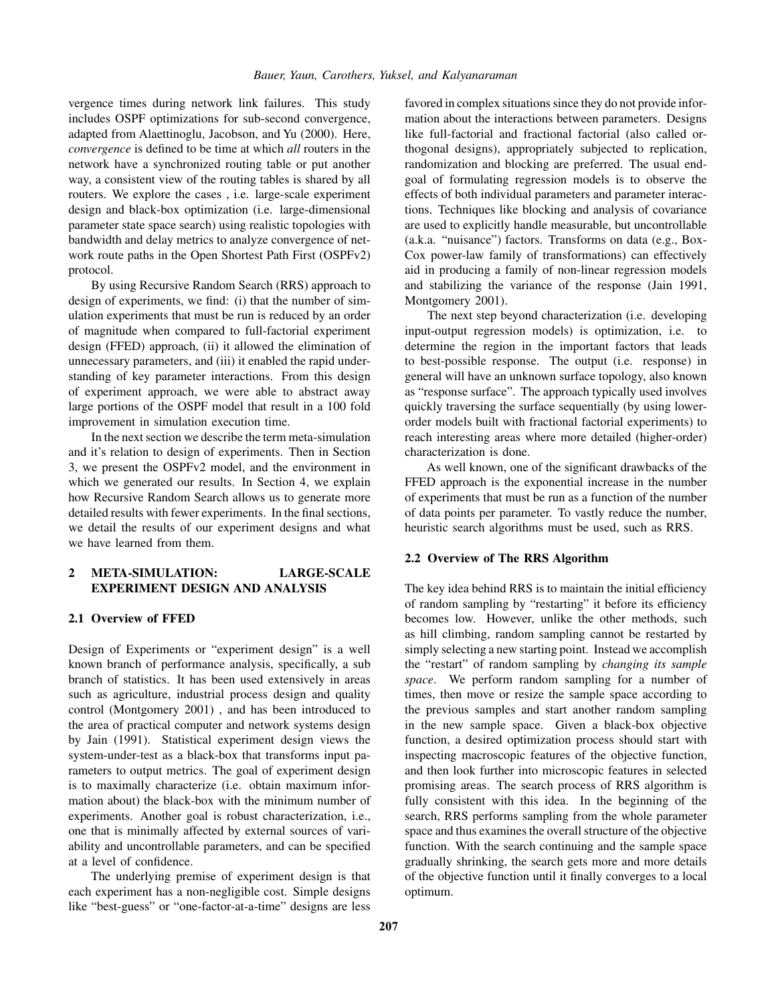vergence times during network link failures. This study includes OSPF optimizations for sub-second convergence, adapted from Alaettinoglu, Jacobson, and Yu (2000). Here, *convergence* is defined to be time at which *all* routers in the network have a synchronized routing table or put another way, a consistent view of the routing tables is shared by all routers. We explore the cases , i.e. large-scale experiment design and black-box optimization (i.e. large-dimensional parameter state space search) using realistic topologies with bandwidth and delay metrics to analyze convergence of network route paths in the Open Shortest Path First (OSPFv2) protocol.

By using Recursive Random Search (RRS) approach to design of experiments, we find: (i) that the number of simulation experiments that must be run is reduced by an order of magnitude when compared to full-factorial experiment design (FFED) approach, (ii) it allowed the elimination of unnecessary parameters, and (iii) it enabled the rapid understanding of key parameter interactions. From this design of experiment approach, we were able to abstract away large portions of the OSPF model that result in a 100 fold improvement in simulation execution time.

In the next section we describe the term meta-simulation and it's relation to design of experiments. Then in Section 3, we present the OSPFv2 model, and the environment in which we generated our results. In Section 4, we explain how Recursive Random Search allows us to generate more detailed results with fewer experiments. In the final sections, we detail the results of our experiment designs and what we have learned from them.

# **2 META-SIMULATION: LARGE-SCALE EXPERIMENT DESIGN AND ANALYSIS**

#### **2.1 Overview of FFED**

Design of Experiments or "experiment design" is a well known branch of performance analysis, specifically, a sub branch of statistics. It has been used extensively in areas such as agriculture, industrial process design and quality control (Montgomery 2001) , and has been introduced to the area of practical computer and network systems design by Jain (1991). Statistical experiment design views the system-under-test as a black-box that transforms input parameters to output metrics. The goal of experiment design is to maximally characterize (i.e. obtain maximum information about) the black-box with the minimum number of experiments. Another goal is robust characterization, i.e., one that is minimally affected by external sources of variability and uncontrollable parameters, and can be specified at a level of confidence.

The underlying premise of experiment design is that each experiment has a non-negligible cost. Simple designs like "best-guess" or "one-factor-at-a-time" designs are less favored in complex situations since they do not provide information about the interactions between parameters. Designs like full-factorial and fractional factorial (also called orthogonal designs), appropriately subjected to replication, randomization and blocking are preferred. The usual endgoal of formulating regression models is to observe the effects of both individual parameters and parameter interactions. Techniques like blocking and analysis of covariance are used to explicitly handle measurable, but uncontrollable (a.k.a. "nuisance") factors. Transforms on data (e.g., Box-Cox power-law family of transformations) can effectively aid in producing a family of non-linear regression models and stabilizing the variance of the response (Jain 1991, Montgomery 2001).

The next step beyond characterization (i.e. developing input-output regression models) is optimization, i.e. to determine the region in the important factors that leads to best-possible response. The output (i.e. response) in general will have an unknown surface topology, also known as "response surface". The approach typically used involves quickly traversing the surface sequentially (by using lowerorder models built with fractional factorial experiments) to reach interesting areas where more detailed (higher-order) characterization is done.

As well known, one of the significant drawbacks of the FFED approach is the exponential increase in the number of experiments that must be run as a function of the number of data points per parameter. To vastly reduce the number, heuristic search algorithms must be used, such as RRS.

# **2.2 Overview of The RRS Algorithm**

The key idea behind RRS is to maintain the initial efficiency of random sampling by "restarting" it before its efficiency becomes low. However, unlike the other methods, such as hill climbing, random sampling cannot be restarted by simply selecting a new starting point. Instead we accomplish the "restart" of random sampling by *changing its sample space*. We perform random sampling for a number of times, then move or resize the sample space according to the previous samples and start another random sampling in the new sample space. Given a black-box objective function, a desired optimization process should start with inspecting macroscopic features of the objective function, and then look further into microscopic features in selected promising areas. The search process of RRS algorithm is fully consistent with this idea. In the beginning of the search, RRS performs sampling from the whole parameter space and thus examines the overall structure of the objective function. With the search continuing and the sample space gradually shrinking, the search gets more and more details of the objective function until it finally converges to a local optimum.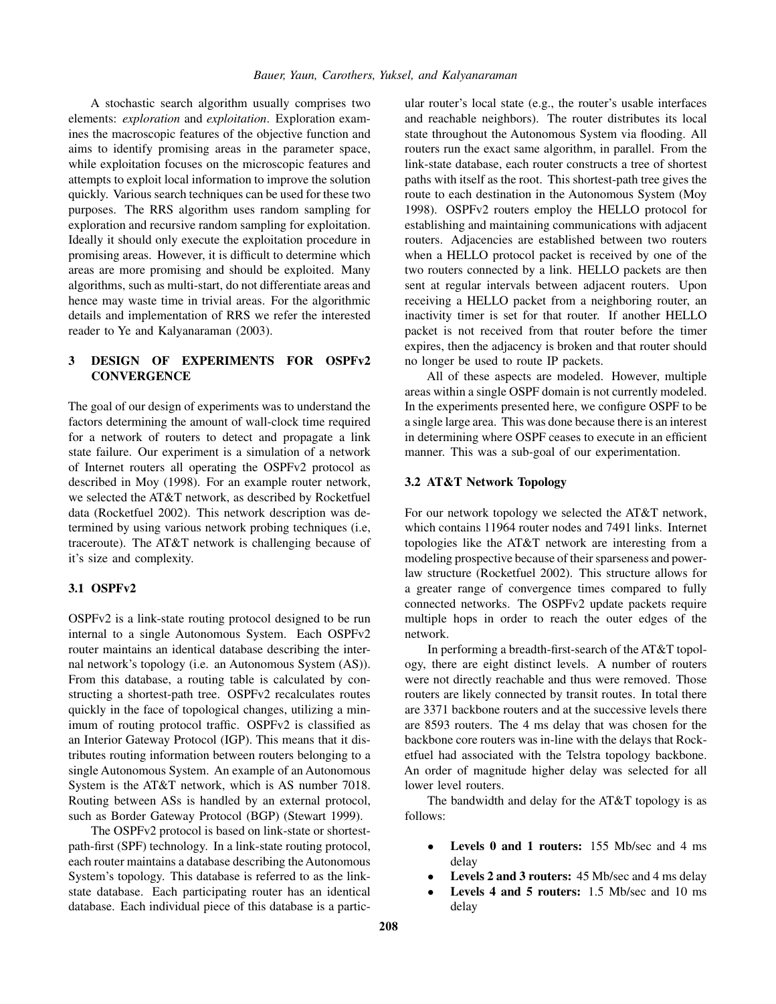A stochastic search algorithm usually comprises two elements: *exploration* and *exploitation*. Exploration examines the macroscopic features of the objective function and aims to identify promising areas in the parameter space, while exploitation focuses on the microscopic features and attempts to exploit local information to improve the solution quickly. Various search techniques can be used for these two purposes. The RRS algorithm uses random sampling for exploration and recursive random sampling for exploitation. Ideally it should only execute the exploitation procedure in promising areas. However, it is difficult to determine which areas are more promising and should be exploited. Many algorithms, such as multi-start, do not differentiate areas and hence may waste time in trivial areas. For the algorithmic details and implementation of RRS we refer the interested reader to Ye and Kalyanaraman (2003).

### **3 DESIGN OF EXPERIMENTS FOR OSPFv2 CONVERGENCE**

The goal of our design of experiments was to understand the factors determining the amount of wall-clock time required for a network of routers to detect and propagate a link state failure. Our experiment is a simulation of a network of Internet routers all operating the OSPFv2 protocol as described in Moy (1998). For an example router network, we selected the AT&T network, as described by Rocketfuel data (Rocketfuel 2002). This network description was determined by using various network probing techniques (i.e, traceroute). The AT&T network is challenging because of it's size and complexity.

#### **3.1 OSPFv2**

OSPFv2 is a link-state routing protocol designed to be run internal to a single Autonomous System. Each OSPFv2 router maintains an identical database describing the internal network's topology (i.e. an Autonomous System (AS)). From this database, a routing table is calculated by constructing a shortest-path tree. OSPFv2 recalculates routes quickly in the face of topological changes, utilizing a minimum of routing protocol traffic. OSPFv2 is classified as an Interior Gateway Protocol (IGP). This means that it distributes routing information between routers belonging to a single Autonomous System. An example of an Autonomous System is the AT&T network, which is AS number 7018. Routing between ASs is handled by an external protocol, such as Border Gateway Protocol (BGP) (Stewart 1999).

The OSPFv2 protocol is based on link-state or shortestpath-first (SPF) technology. In a link-state routing protocol, each router maintains a database describing the Autonomous System's topology. This database is referred to as the linkstate database. Each participating router has an identical database. Each individual piece of this database is a partic-

ular router's local state (e.g., the router's usable interfaces and reachable neighbors). The router distributes its local state throughout the Autonomous System via flooding. All routers run the exact same algorithm, in parallel. From the link-state database, each router constructs a tree of shortest paths with itself as the root. This shortest-path tree gives the route to each destination in the Autonomous System (Moy 1998). OSPFv2 routers employ the HELLO protocol for establishing and maintaining communications with adjacent routers. Adjacencies are established between two routers when a HELLO protocol packet is received by one of the two routers connected by a link. HELLO packets are then sent at regular intervals between adjacent routers. Upon receiving a HELLO packet from a neighboring router, an inactivity timer is set for that router. If another HELLO packet is not received from that router before the timer expires, then the adjacency is broken and that router should no longer be used to route IP packets.

All of these aspects are modeled. However, multiple areas within a single OSPF domain is not currently modeled. In the experiments presented here, we configure OSPF to be a single large area. This was done because there is an interest in determining where OSPF ceases to execute in an efficient manner. This was a sub-goal of our experimentation.

#### **3.2 AT&T Network Topology**

For our network topology we selected the AT&T network, which contains 11964 router nodes and 7491 links. Internet topologies like the AT&T network are interesting from a modeling prospective because of their sparseness and powerlaw structure (Rocketfuel 2002). This structure allows for a greater range of convergence times compared to fully connected networks. The OSPFv2 update packets require multiple hops in order to reach the outer edges of the network.

In performing a breadth-first-search of the AT&T topology, there are eight distinct levels. A number of routers were not directly reachable and thus were removed. Those routers are likely connected by transit routes. In total there are 3371 backbone routers and at the successive levels there are 8593 routers. The 4 ms delay that was chosen for the backbone core routers was in-line with the delays that Rocketfuel had associated with the Telstra topology backbone. An order of magnitude higher delay was selected for all lower level routers.

The bandwidth and delay for the AT&T topology is as follows:

- **Levels 0 and 1 routers:** 155 Mb/sec and 4 ms delay
- **Levels 2 and 3 routers:** 45 Mb/sec and 4 ms delay
- **Levels 4 and 5 routers:** 1.5 Mb/sec and 10 ms delay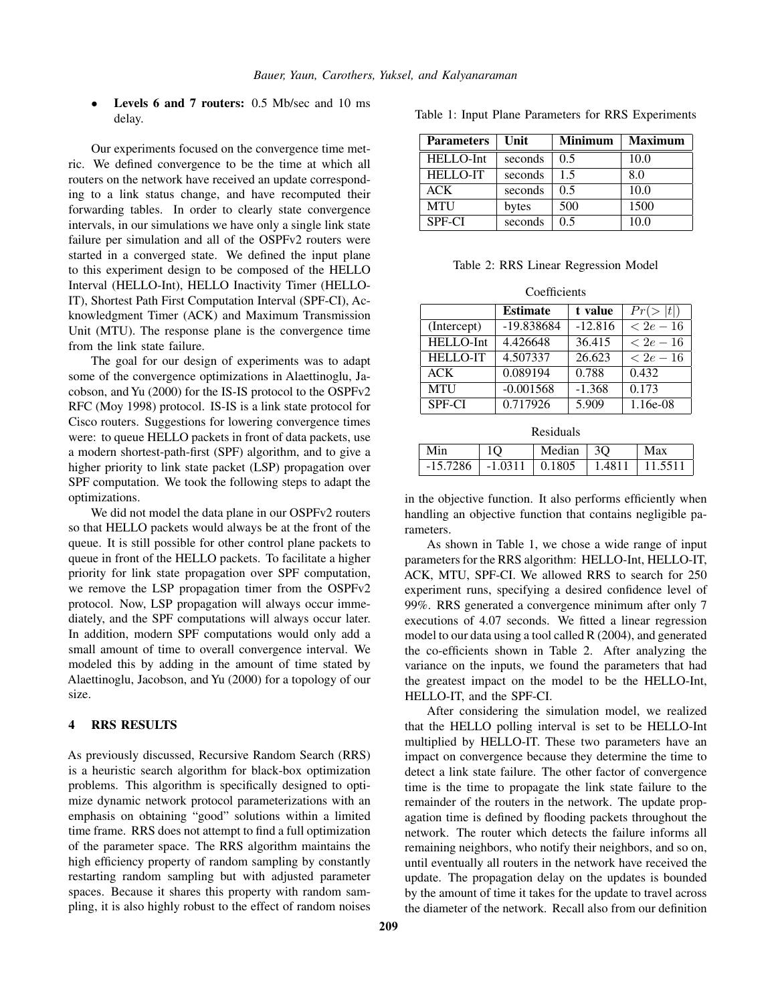• **Levels 6 and 7 routers:** 0.5 Mb/sec and 10 ms delay.

Our experiments focused on the convergence time metric. We defined convergence to be the time at which all routers on the network have received an update corresponding to a link status change, and have recomputed their forwarding tables. In order to clearly state convergence intervals, in our simulations we have only a single link state failure per simulation and all of the OSPFv2 routers were started in a converged state. We defined the input plane to this experiment design to be composed of the HELLO Interval (HELLO-Int), HELLO Inactivity Timer (HELLO-IT), Shortest Path First Computation Interval (SPF-CI), Acknowledgment Timer (ACK) and Maximum Transmission Unit (MTU). The response plane is the convergence time from the link state failure.

The goal for our design of experiments was to adapt some of the convergence optimizations in Alaettinoglu, Jacobson, and Yu (2000) for the IS-IS protocol to the OSPFv2 RFC (Moy 1998) protocol. IS-IS is a link state protocol for Cisco routers. Suggestions for lowering convergence times were: to queue HELLO packets in front of data packets, use a modern shortest-path-first (SPF) algorithm, and to give a higher priority to link state packet (LSP) propagation over SPF computation. We took the following steps to adapt the optimizations.

We did not model the data plane in our OSPFv2 routers so that HELLO packets would always be at the front of the queue. It is still possible for other control plane packets to queue in front of the HELLO packets. To facilitate a higher priority for link state propagation over SPF computation, we remove the LSP propagation timer from the OSPFv2 protocol. Now, LSP propagation will always occur immediately, and the SPF computations will always occur later. In addition, modern SPF computations would only add a small amount of time to overall convergence interval. We modeled this by adding in the amount of time stated by Alaettinoglu, Jacobson, and Yu (2000) for a topology of our size.

### **4 RRS RESULTS**

As previously discussed, Recursive Random Search (RRS) is a heuristic search algorithm for black-box optimization problems. This algorithm is specifically designed to optimize dynamic network protocol parameterizations with an emphasis on obtaining "good" solutions within a limited time frame. RRS does not attempt to find a full optimization of the parameter space. The RRS algorithm maintains the high efficiency property of random sampling by constantly restarting random sampling but with adjusted parameter spaces. Because it shares this property with random sampling, it is also highly robust to the effect of random noises Table 1: Input Plane Parameters for RRS Experiments

| <b>Parameters</b> | Unit    | <b>Minimum</b> | <b>Maximum</b> |
|-------------------|---------|----------------|----------------|
| HELLO-Int         | seconds | 0.5            | 10.0           |
| <b>HELLO-IT</b>   | seconds | 1.5            | 8.0            |
| ACK.              | seconds | 0.5            | 10.0           |
| <b>MTU</b>        | bytes   | 500            | 1500           |
| <b>SPF-CI</b>     | seconds | 0 <sub>5</sub> | 10.0           |

|  |  |  |  | Table 2: RRS Linear Regression Model |  |
|--|--|--|--|--------------------------------------|--|
|--|--|--|--|--------------------------------------|--|

|  | Coefficients |
|--|--------------|
|  |              |

|                 | <b>Estimate</b> | t value   | Pr(> t )      |
|-----------------|-----------------|-----------|---------------|
| (Intercept)     | -19.838684      | $-12.816$ | $< 2e-16$     |
| HELLO-Int       | 4.426648        | 36.415    | $\rm < 2e-16$ |
| <b>HELLO-IT</b> | 4.507337        | 26.623    | $\rm < 2e-16$ |
| <b>ACK</b>      | 0.089194        | 0.788     | 0.432         |
| <b>MTU</b>      | $-0.001568$     | $-1.368$  | 0.173         |
| SPF-CI          | 0.717926        | 5.909     | 1.16e-08      |

| Residuals  |           |        |        |         |  |
|------------|-----------|--------|--------|---------|--|
| Min        | 10        | Median | 30     | Max     |  |
| $-15.7286$ | $-1.0311$ | 0.1805 | 1.4811 | 11.5511 |  |

in the objective function. It also performs efficiently when handling an objective function that contains negligible parameters.

As shown in Table 1, we chose a wide range of input parameters for the RRS algorithm: HELLO-Int, HELLO-IT, ACK, MTU, SPF-CI. We allowed RRS to search for 250 experiment runs, specifying a desired confidence level of 99%. RRS generated a convergence minimum after only 7 executions of 4.07 seconds. We fitted a linear regression model to our data using a tool called R (2004), and generated the co-efficients shown in Table 2. After analyzing the variance on the inputs, we found the parameters that had the greatest impact on the model to be the HELLO-Int, HELLO-IT, and the SPF-CI.

After considering the simulation model, we realized that the HELLO polling interval is set to be HELLO-Int multiplied by HELLO-IT. These two parameters have an impact on convergence because they determine the time to detect a link state failure. The other factor of convergence time is the time to propagate the link state failure to the remainder of the routers in the network. The update propagation time is defined by flooding packets throughout the network. The router which detects the failure informs all remaining neighbors, who notify their neighbors, and so on, until eventually all routers in the network have received the update. The propagation delay on the updates is bounded by the amount of time it takes for the update to travel across the diameter of the network. Recall also from our definition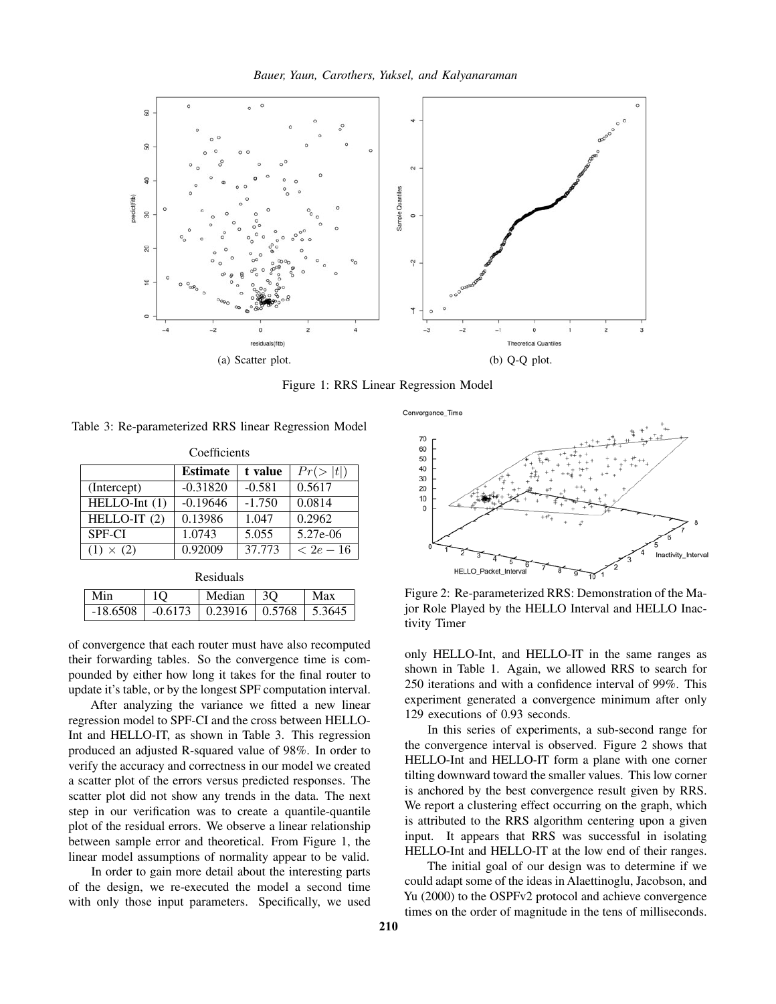*Bauer, Yaun, Carothers, Yuksel, and Kalyanaraman*



Figure 1: RRS Linear Regression Model

Table 3: Re-parameterized RRS linear Regression Model

| Coefficients     |                 |          |             |  |
|------------------|-----------------|----------|-------------|--|
|                  | <b>Estimate</b> | t value  | Pr(> t )    |  |
| (Intercept)      | $-0.31820$      | $-0.581$ | 0.5617      |  |
| $HELLO-Int(1)$   | $-0.19646$      | $-1.750$ | 0.0814      |  |
| HELLO-IT $(2)$   | 0.13986         | 1.047    | 0.2962      |  |
| <b>SPF-CI</b>    | 1.0743          | 5.055    | 5.27e-06    |  |
| $(1) \times (2)$ | 0.92009         | 37.773   | $< 2e - 16$ |  |

| Residuais  |           |                    |    |        |  |
|------------|-----------|--------------------|----|--------|--|
| Min        | $1\Omega$ | Median             | 30 | Max    |  |
| $-18.6508$ | $-0.6173$ | $0.23916$   0.5768 |    | 5.3645 |  |

Residuals

of convergence that each router must have also recomputed their forwarding tables. So the convergence time is compounded by either how long it takes for the final router to update it's table, or by the longest SPF computation interval.

After analyzing the variance we fitted a new linear regression model to SPF-CI and the cross between HELLO-Int and HELLO-IT, as shown in Table 3. This regression produced an adjusted R-squared value of 98%. In order to verify the accuracy and correctness in our model we created a scatter plot of the errors versus predicted responses. The scatter plot did not show any trends in the data. The next step in our verification was to create a quantile-quantile plot of the residual errors. We observe a linear relationship between sample error and theoretical. From Figure 1, the linear model assumptions of normality appear to be valid.

In order to gain more detail about the interesting parts of the design, we re-executed the model a second time with only those input parameters. Specifically, we used



Figure 2: Re-parameterized RRS: Demonstration of the Major Role Played by the HELLO Interval and HELLO Inactivity Timer

only HELLO-Int, and HELLO-IT in the same ranges as shown in Table 1. Again, we allowed RRS to search for 250 iterations and with a confidence interval of 99%. This experiment generated a convergence minimum after only 129 executions of 0.93 seconds.

In this series of experiments, a sub-second range for the convergence interval is observed. Figure 2 shows that HELLO-Int and HELLO-IT form a plane with one corner tilting downward toward the smaller values. This low corner is anchored by the best convergence result given by RRS. We report a clustering effect occurring on the graph, which is attributed to the RRS algorithm centering upon a given input. It appears that RRS was successful in isolating HELLO-Int and HELLO-IT at the low end of their ranges.

The initial goal of our design was to determine if we could adapt some of the ideas in Alaettinoglu, Jacobson, and Yu (2000) to the OSPFv2 protocol and achieve convergence times on the order of magnitude in the tens of milliseconds.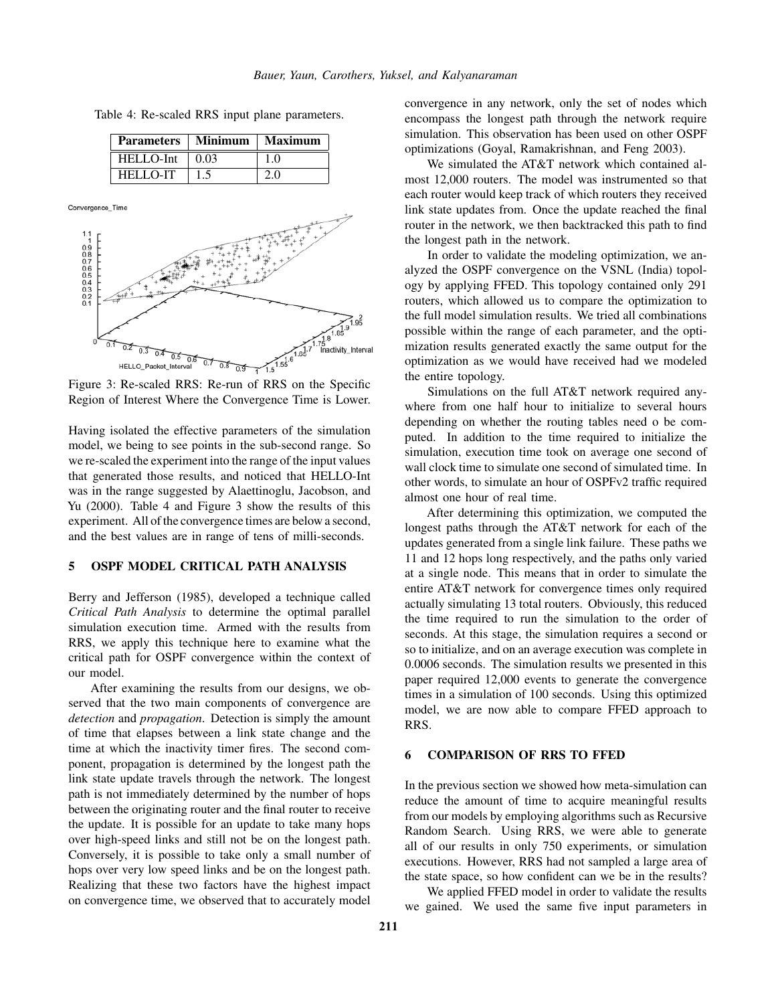| Table 4: Re-scaled RRS input plane parameters. |  |  |
|------------------------------------------------|--|--|
|------------------------------------------------|--|--|



Figure 3: Re-scaled RRS: Re-run of RRS on the Specific Region of Interest Where the Convergence Time is Lower.

Having isolated the effective parameters of the simulation model, we being to see points in the sub-second range. So we re-scaled the experiment into the range of the input values that generated those results, and noticed that HELLO-Int was in the range suggested by Alaettinoglu, Jacobson, and Yu (2000). Table 4 and Figure 3 show the results of this experiment. All of the convergence times are below a second, and the best values are in range of tens of milli-seconds.

#### **5 OSPF MODEL CRITICAL PATH ANALYSIS**

Berry and Jefferson (1985), developed a technique called *Critical Path Analysis* to determine the optimal parallel simulation execution time. Armed with the results from RRS, we apply this technique here to examine what the critical path for OSPF convergence within the context of our model.

After examining the results from our designs, we observed that the two main components of convergence are *detection* and *propagation*. Detection is simply the amount of time that elapses between a link state change and the time at which the inactivity timer fires. The second component, propagation is determined by the longest path the link state update travels through the network. The longest path is not immediately determined by the number of hops between the originating router and the final router to receive the update. It is possible for an update to take many hops over high-speed links and still not be on the longest path. Conversely, it is possible to take only a small number of hops over very low speed links and be on the longest path. Realizing that these two factors have the highest impact on convergence time, we observed that to accurately model convergence in any network, only the set of nodes which encompass the longest path through the network require simulation. This observation has been used on other OSPF optimizations (Goyal, Ramakrishnan, and Feng 2003).

We simulated the AT&T network which contained almost 12,000 routers. The model was instrumented so that each router would keep track of which routers they received link state updates from. Once the update reached the final router in the network, we then backtracked this path to find the longest path in the network.

In order to validate the modeling optimization, we analyzed the OSPF convergence on the VSNL (India) topology by applying FFED. This topology contained only 291 routers, which allowed us to compare the optimization to the full model simulation results. We tried all combinations possible within the range of each parameter, and the optimization results generated exactly the same output for the optimization as we would have received had we modeled the entire topology.

Simulations on the full AT&T network required anywhere from one half hour to initialize to several hours depending on whether the routing tables need o be computed. In addition to the time required to initialize the simulation, execution time took on average one second of wall clock time to simulate one second of simulated time. In other words, to simulate an hour of OSPFv2 traffic required almost one hour of real time.

After determining this optimization, we computed the longest paths through the AT&T network for each of the updates generated from a single link failure. These paths we 11 and 12 hops long respectively, and the paths only varied at a single node. This means that in order to simulate the entire AT&T network for convergence times only required actually simulating 13 total routers. Obviously, this reduced the time required to run the simulation to the order of seconds. At this stage, the simulation requires a second or so to initialize, and on an average execution was complete in 0.0006 seconds. The simulation results we presented in this paper required 12,000 events to generate the convergence times in a simulation of 100 seconds. Using this optimized model, we are now able to compare FFED approach to RRS.

#### **6 COMPARISON OF RRS TO FFED**

In the previous section we showed how meta-simulation can reduce the amount of time to acquire meaningful results from our models by employing algorithms such as Recursive Random Search. Using RRS, we were able to generate all of our results in only 750 experiments, or simulation executions. However, RRS had not sampled a large area of the state space, so how confident can we be in the results?

We applied FFED model in order to validate the results we gained. We used the same five input parameters in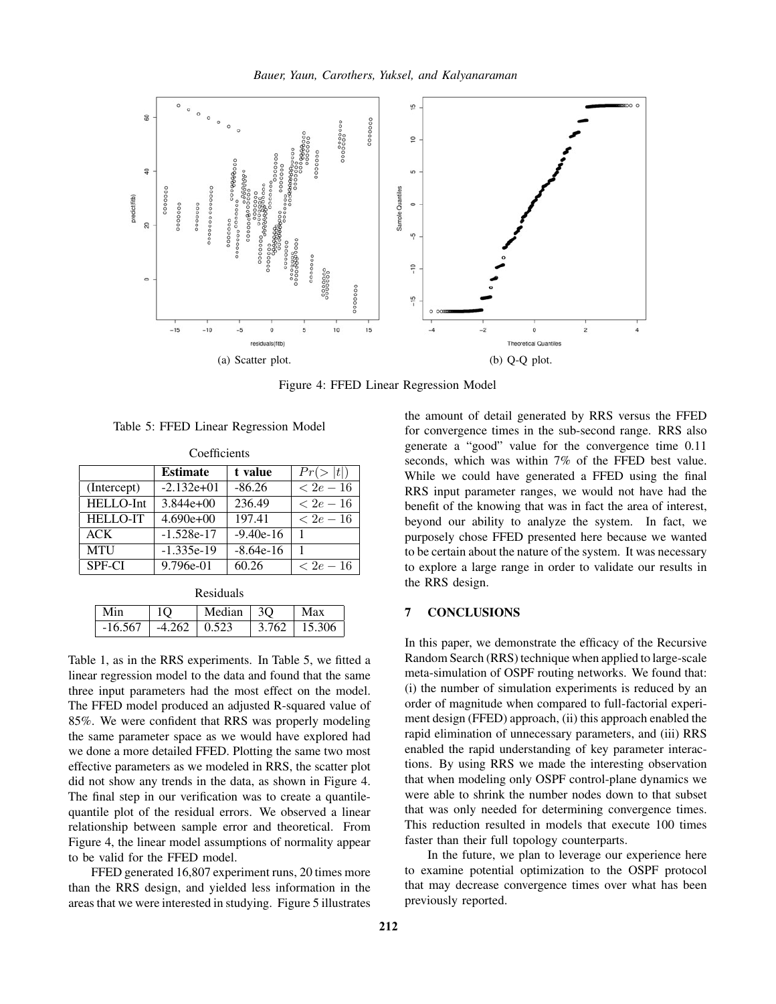*Bauer, Yaun, Carothers, Yuksel, and Kalyanaraman*



Figure 4: FFED Linear Regression Model

Table 5: FFED Linear Regression Model Coefficients

|                  | <b>Estimate</b> | t value     | Pr(> t )      |  |
|------------------|-----------------|-------------|---------------|--|
| (Intercept)      | $-2.132e+01$    | $-86.26$    | $\leq 2e-16$  |  |
| <b>HELLO-Int</b> | $3.844e+00$     | 236.49      | $\rm < 2e-16$ |  |
| <b>HELLO-IT</b>  | $4.690e+00$     | 197.41      | $\rm < 2e-16$ |  |
| <b>ACK</b>       | $-1.528e-17$    | $-9.40e-16$ |               |  |
| <b>MTU</b>       | $-1.335e-19$    | $-8.64e-16$ |               |  |
| <b>SPF-CI</b>    | 9.796e-01       | 60.26       | $\rm < 2e-16$ |  |

| Residuals |  |
|-----------|--|
|-----------|--|

|           |            | Median | 30    |        |
|-----------|------------|--------|-------|--------|
| $-16.567$ | $-4.262$ . | 0.523  | 3.762 | 15.306 |

Table 1, as in the RRS experiments. In Table 5, we fitted a linear regression model to the data and found that the same three input parameters had the most effect on the model. The FFED model produced an adjusted R-squared value of 85%. We were confident that RRS was properly modeling the same parameter space as we would have explored had we done a more detailed FFED. Plotting the same two most effective parameters as we modeled in RRS, the scatter plot did not show any trends in the data, as shown in Figure 4. The final step in our verification was to create a quantilequantile plot of the residual errors. We observed a linear relationship between sample error and theoretical. From Figure 4, the linear model assumptions of normality appear to be valid for the FFED model.

FFED generated 16,807 experiment runs, 20 times more than the RRS design, and yielded less information in the areas that we were interested in studying. Figure 5 illustrates

the amount of detail generated by RRS versus the FFED for convergence times in the sub-second range. RRS also generate a "good" value for the convergence time 0.11 seconds, which was within 7% of the FFED best value. While we could have generated a FFED using the final RRS input parameter ranges, we would not have had the benefit of the knowing that was in fact the area of interest, beyond our ability to analyze the system. In fact, we purposely chose FFED presented here because we wanted to be certain about the nature of the system. It was necessary to explore a large range in order to validate our results in the RRS design.

# **7 CONCLUSIONS**

In this paper, we demonstrate the efficacy of the Recursive Random Search (RRS) technique when applied to large-scale meta-simulation of OSPF routing networks. We found that: (i) the number of simulation experiments is reduced by an order of magnitude when compared to full-factorial experiment design (FFED) approach, (ii) this approach enabled the rapid elimination of unnecessary parameters, and (iii) RRS enabled the rapid understanding of key parameter interactions. By using RRS we made the interesting observation that when modeling only OSPF control-plane dynamics we were able to shrink the number nodes down to that subset that was only needed for determining convergence times. This reduction resulted in models that execute 100 times faster than their full topology counterparts.

In the future, we plan to leverage our experience here to examine potential optimization to the OSPF protocol that may decrease convergence times over what has been previously reported.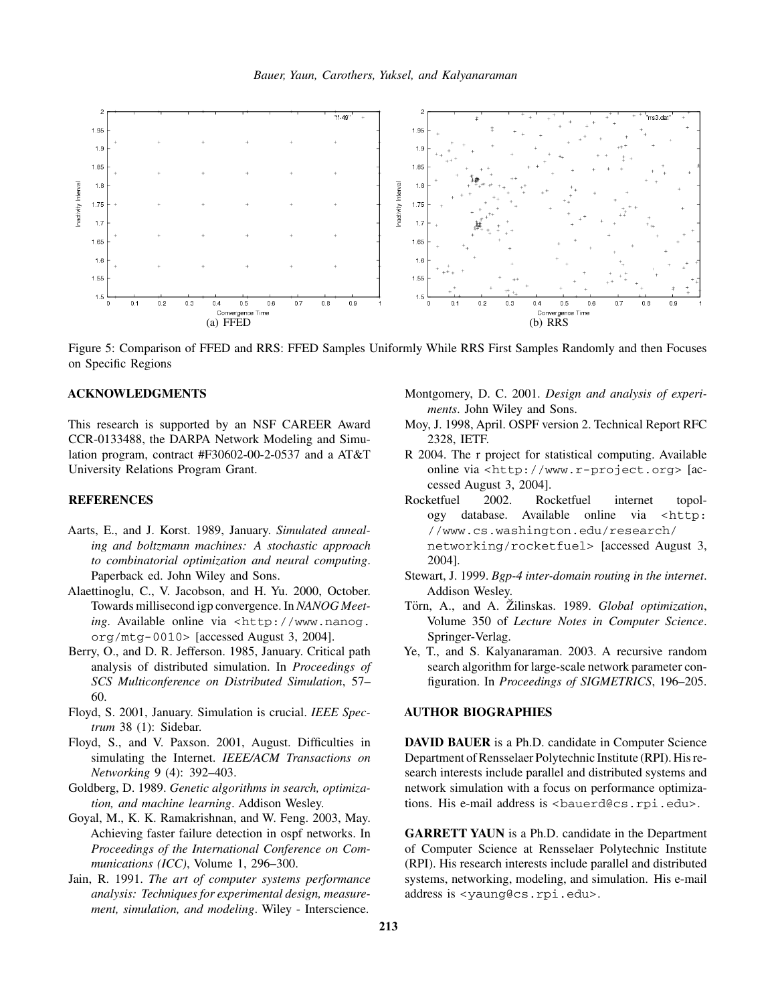

Figure 5: Comparison of FFED and RRS: FFED Samples Uniformly While RRS First Samples Randomly and then Focuses on Specific Regions

# **ACKNOWLEDGMENTS**

This research is supported by an NSF CAREER Award CCR-0133488, the DARPA Network Modeling and Simulation program, contract #F30602-00-2-0537 and a AT&T University Relations Program Grant.

# **REFERENCES**

- Aarts, E., and J. Korst. 1989, January. *Simulated annealing and boltzmann machines: A stochastic approach to combinatorial optimization and neural computing*. Paperback ed. John Wiley and Sons.
- Alaettinoglu, C., V. Jacobson, and H. Yu. 2000, October. Towards millisecond igp convergence. In *NANOG Meeting*. Available online via <http://www.nanog. org/mtg-0010> [accessed August 3, 2004].
- Berry, O., and D. R. Jefferson. 1985, January. Critical path analysis of distributed simulation. In *Proceedings of SCS Multiconference on Distributed Simulation*, 57– 60.
- Floyd, S. 2001, January. Simulation is crucial. *IEEE Spectrum* 38 (1): Sidebar.
- Floyd, S., and V. Paxson. 2001, August. Difficulties in simulating the Internet. *IEEE/ACM Transactions on Networking* 9 (4): 392–403.
- Goldberg, D. 1989. *Genetic algorithms in search, optimization, and machine learning*. Addison Wesley.
- Goyal, M., K. K. Ramakrishnan, and W. Feng. 2003, May. Achieving faster failure detection in ospf networks. In *Proceedings of the International Conference on Communications (ICC)*, Volume 1, 296–300.
- Jain, R. 1991. *The art of computer systems performance analysis: Techniques for experimental design, measurement, simulation, and modeling*. Wiley - Interscience.
- Montgomery, D. C. 2001. *Design and analysis of experiments*. John Wiley and Sons.
- Moy, J. 1998, April. OSPF version 2. Technical Report RFC 2328, IETF.
- R 2004. The r project for statistical computing. Available online via <http://www.r-project.org> [accessed August 3, 2004].
- Rocketfuel 2002. Rocketfuel internet topology database. Available online via <http: //www.cs.washington.edu/research/ networking/rocketfuel> [accessed August 3, 2004].
- Stewart, J. 1999. *Bgp-4 inter-domain routing in the internet*. Addison Wesley.
- Törn, A., and A. Žilinskas. 1989. Global optimization, Volume 350 of *Lecture Notes in Computer Science*. Springer-Verlag.
- Ye, T., and S. Kalyanaraman. 2003. A recursive random search algorithm for large-scale network parameter configuration. In *Proceedings of SIGMETRICS*, 196–205.

#### **AUTHOR BIOGRAPHIES**

**DAVID BAUER** is a Ph.D. candidate in Computer Science Department of Rensselaer Polytechnic Institute (RPI). His research interests include parallel and distributed systems and network simulation with a focus on performance optimizations. His e-mail address is <bauerd@cs.rpi.edu>.

**GARRETT YAUN** is a Ph.D. candidate in the Department of Computer Science at Rensselaer Polytechnic Institute (RPI). His research interests include parallel and distributed systems, networking, modeling, and simulation. His e-mail address is <yaung@cs.rpi.edu>.